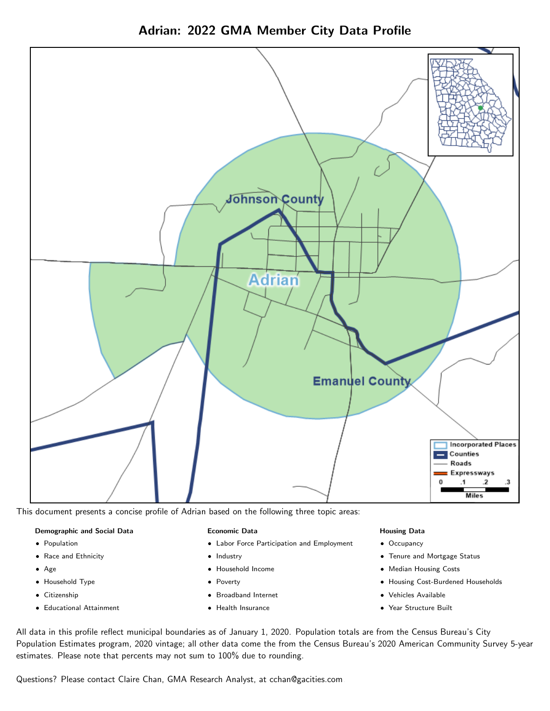



This document presents a concise profile of Adrian based on the following three topic areas:

#### Demographic and Social Data

- **•** Population
- Race and Ethnicity
- Age
- Household Type
- **Citizenship**
- Educational Attainment

#### Economic Data

- Labor Force Participation and Employment
- Industry
- Household Income
- Poverty
- Broadband Internet
- Health Insurance

## Housing Data

- Occupancy
- Tenure and Mortgage Status
- Median Housing Costs
- Housing Cost-Burdened Households
- Vehicles Available
- Year Structure Built

All data in this profile reflect municipal boundaries as of January 1, 2020. Population totals are from the Census Bureau's City Population Estimates program, 2020 vintage; all other data come the from the Census Bureau's 2020 American Community Survey 5-year estimates. Please note that percents may not sum to 100% due to rounding.

Questions? Please contact Claire Chan, GMA Research Analyst, at [cchan@gacities.com.](mailto:cchan@gacities.com)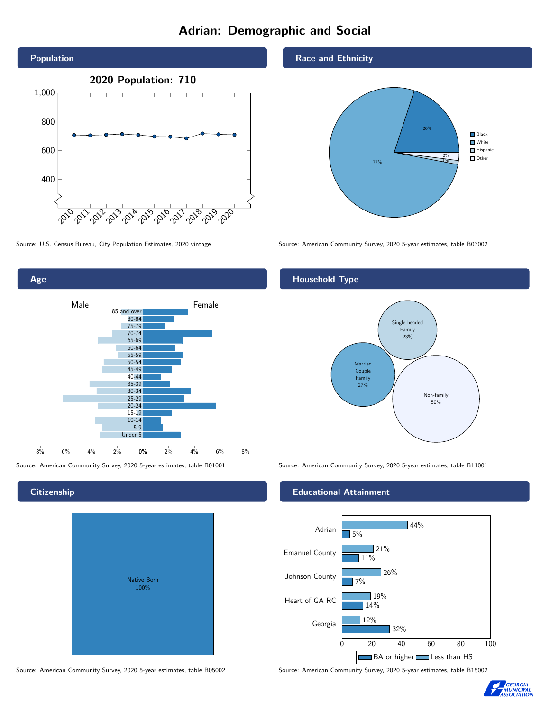# Adrian: Demographic and Social





Source: American Community Survey, 2020 5-year estimates, table B01001 Source: American Community Survey, 2020 5-year estimates, table B11001

# **Citizenship**

| Native Born<br>100% |  |
|---------------------|--|

Race and Ethnicity



Source: U.S. Census Bureau, City Population Estimates, 2020 vintage Source: American Community Survey, 2020 5-year estimates, table B03002

# Household Type



## Educational Attainment



Source: American Community Survey, 2020 5-year estimates, table B05002 Source: American Community Survey, 2020 5-year estimates, table B15002

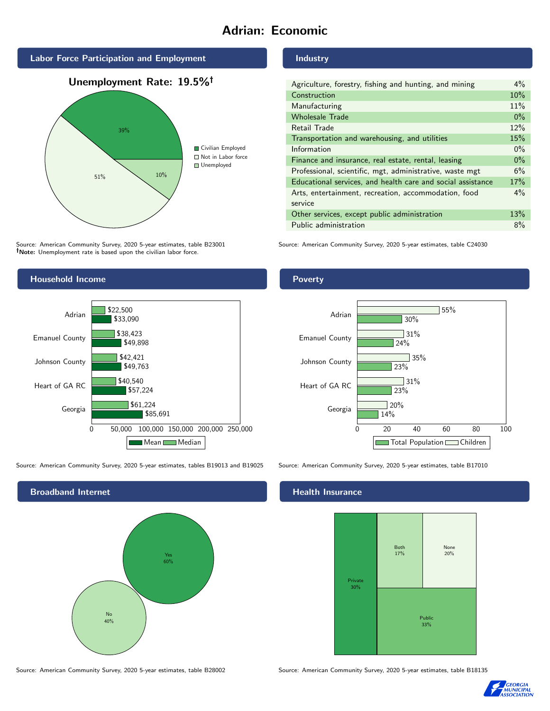# Adrian: Economic



Source: American Community Survey, 2020 5-year estimates, table B23001 Note: Unemployment rate is based upon the civilian labor force.

# Industry

| Agriculture, forestry, fishing and hunting, and mining      | $4\%$ |
|-------------------------------------------------------------|-------|
| Construction                                                | 10%   |
| Manufacturing                                               | 11%   |
| <b>Wholesale Trade</b>                                      | $0\%$ |
| Retail Trade                                                | 12%   |
| Transportation and warehousing, and utilities               |       |
| Information                                                 | $0\%$ |
| Finance and insurance, real estate, rental, leasing         |       |
| Professional, scientific, mgt, administrative, waste mgt    |       |
| Educational services, and health care and social assistance |       |
| Arts, entertainment, recreation, accommodation, food        |       |
| service                                                     |       |
| Other services, except public administration                |       |
| Public administration                                       |       |

Source: American Community Survey, 2020 5-year estimates, table C24030



Source: American Community Survey, 2020 5-year estimates, tables B19013 and B19025 Source: American Community Survey, 2020 5-year estimates, table B17010



Poverty



#### Health Insurance



Source: American Community Survey, 2020 5-year estimates, table B28002 Source: American Community Survey, 2020 5-year estimates, table B18135